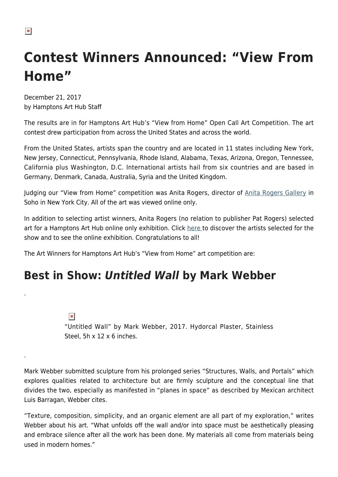# **Contest Winners Announced: "View From Home"**

December 21, 2017 by Hamptons Art Hub Staff

The results are in for Hamptons Art Hub's "View from Home" Open Call Art Competition. The art contest drew participation from across the United States and across the world.

From the United States, artists span the country and are located in 11 states including New York, New Jersey, Connecticut, Pennsylvania, Rhode Island, Alabama, Texas, Arizona, Oregon, Tennessee, California plus Washington, D.C. International artists hail from six countries and are based in Germany, Denmark, Canada, Australia, Syria and the United Kingdom.

Judging our "View from Home" competition was Anita Rogers, director of [Anita Rogers Gallery](http://www.anitarogersgallery.com/) in Soho in New York City. All of the art was viewed online only.

In addition to selecting artist winners, Anita Rogers (no relation to publisher Pat Rogers) selected art for a Hamptons Art Hub online only exhibition. Click [here t](https://hamptonsarthub.com/2017/12/21/exhibition-view-from-home-competition-online-exhibition-by-hamptons-art-hub/)o discover the artists selected for the show and to see the online exhibition. Congratulations to all!

The Art Winners for Hamptons Art Hub's "View from Home" art competition are:

### **Best in Show:** *Untitled Wall* **by Mark Webber**

 $\pmb{\times}$ 

.

.

"Untitled Wall" by Mark Webber, 2017. Hydorcal Plaster, Stainless Steel, 5h x 12 x 6 inches.

Mark Webber submitted sculpture from his prolonged series "Structures, Walls, and Portals" which explores qualities related to architecture but are firmly sculpture and the conceptual line that divides the two, especially as manifested in "planes in space" as described by Mexican architect Luis Barragan, Webber cites.

"Texture, composition, simplicity, and an organic element are all part of my exploration," writes Webber about his art. "What unfolds off the wall and/or into space must be aesthetically pleasing and embrace silence after all the work has been done. My materials all come from materials being used in modern homes."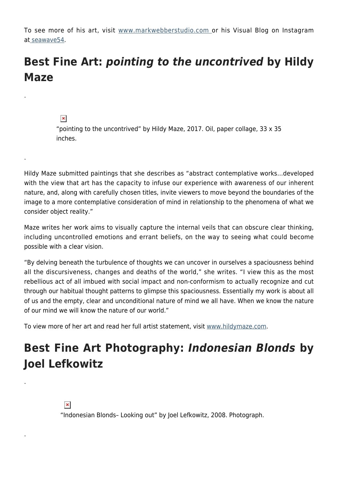To see more of his art, visit [www.markwebberstudio.com](http://www.markwebberstudio.com/) or his Visual Blog on Instagram at [seawave54](https://www.instagram.com/seawave54/).

## **Best Fine Art:** *pointing to the uncontrived* **by Hildy Maze**

#### $\pmb{\times}$

.

.

.

.

"pointing to the uncontrived" by Hildy Maze, 2017. Oil, paper collage, 33 x 35 inches.

Hildy Maze submitted paintings that she describes as "abstract contemplative works…developed with the view that art has the capacity to infuse our experience with awareness of our inherent nature, and, along with carefully chosen titles, invite viewers to move beyond the boundaries of the image to a more contemplative consideration of mind in relationship to the phenomena of what we consider object reality."

Maze writes her work aims to visually capture the internal veils that can obscure clear thinking, including uncontrolled emotions and errant beliefs, on the way to seeing what could become possible with a clear vision.

"By delving beneath the turbulence of thoughts we can uncover in ourselves a spaciousness behind all the discursiveness, changes and deaths of the world," she writes. "I view this as the most rebellious act of all imbued with social impact and non-conformism to actually recognize and cut through our habitual thought patterns to glimpse this spaciousness. Essentially my work is about all of us and the empty, clear and unconditional nature of mind we all have. When we know the nature of our mind we will know the nature of our world."

To view more of her art and read her full artist statement, visit [www.hildymaze.com](http://hildymaze.com/home.html).

# **Best Fine Art Photography:** *Indonesian Blonds* **by Joel Lefkowitz**

"Indonesian Blonds– Looking out" by Joel Lefkowitz, 2008. Photograph.